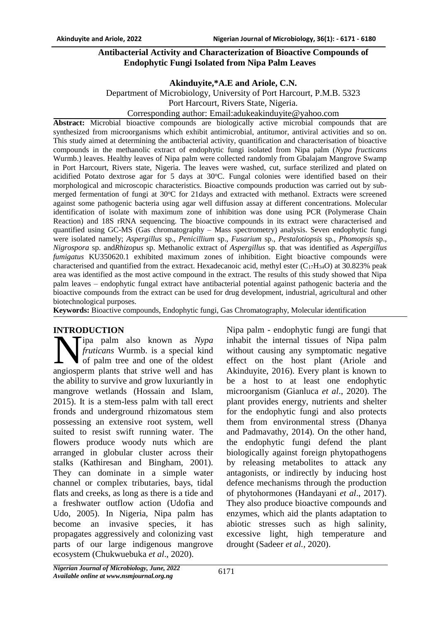## **Antibacterial Activity and Characterization of Bioactive Compounds of Endophytic Fungi Isolated from Nipa Palm Leaves**

## **Akinduyite,\*A.E and Ariole, C.N.**

Department of Microbiology, University of Port Harcourt, P.M.B. 5323

Port Harcourt, Rivers State, Nigeria.

#### Corresponding author: Email:adukeakinduyite@yahoo.com

**Abstract:** Microbial bioactive compounds are biologically active microbial compounds that are synthesized from microorganisms which exhibit antimicrobial, antitumor, antiviral activities and so on. This study aimed at determining the antibacterial activity, quantification and characterisation of bioactive compounds in the methanolic extract of endophytic fungi isolated from Nipa palm (*Nypa fructicans*  Wurmb.) leaves. Healthy leaves of Nipa palm were collected randomly from Gbalajam Mangrove Swamp in Port Harcourt, Rivers state, Nigeria. The leaves were washed, cut, surface sterilized and plated on acidified Potato dextrose agar for 5 days at  $30^{\circ}$ C. Fungal colonies were identified based on their morphological and microscopic characteristics. Bioactive compounds production was carried out by submerged fermentation of fungi at 30 °C for 21 days and extracted with methanol. Extracts were screened against some pathogenic bacteria using agar well diffusion assay at different concentrations. Molecular identification of isolate with maximum zone of inhibition was done using PCR (Polymerase Chain Reaction) and 18S rRNA sequencing. The bioactive compounds in its extract were characterised and quantified using GC-MS (Gas chromatography – Mass spectrometry) analysis. Seven endophytic fungi were isolated namely; *Aspergillus* sp., *Penicillium* sp., *Fusarium* sp., *Pestalotiopsis* sp., *Phomopsis* sp., *Nigrospora* sp. and*Rhizopus* sp. Methanolic extract of *Aspergillus* sp. that was identified as *Aspergillus fumigatus* KU350620.1 exhibited maximum zones of inhibition. Eight bioactive compounds were characterised and quantified from the extract. Hexadecanoic acid, methyl ester  $(C_{17}H_{34}O)$  at 30.823% peak area was identified as the most active compound in the extract. The results of this study showed that Nipa palm leaves – endophytic fungal extract have antibacterial potential against pathogenic bacteria and the bioactive compounds from the extract can be used for drug development, industrial, agricultural and other biotechnological purposes.

**Keywords:** Bioactive compounds, Endophytic fungi, Gas Chromatography, Molecular identification

## **INTRODUCTION**

ipa palm also known as *Nypa fruticans* Wurmb. is a special [kind](http://en.wikipedia.org/wiki/Species) of [palm](http://en.wikipedia.org/wiki/Arecaceae) tree and one of the oldest **ANDELLION**<br> *S fruticans* Wurmb. is a special kind<br>
of palm tree and one of the oldest<br>
angiosperm plants that strive well and has the ability to survive and grow luxuriantly in mangrove wetlands (Hossain and Islam, 2015). It is a stem-less palm with tall erect fronds and underground rhizomatous stem possessing an extensive root system, well suited to resist swift running water. The flowers produce woody nuts which are arranged in globular cluster across their stalks (Kathiresan and Bingham, 2001). They can dominate in a simple water channel or complex tributaries, bays, tidal flats and creeks, as long as there is a tide and a freshwater outflow action (Udofia and Udo, 2005). In Nigeria, Nipa palm has become an invasive species, it has propagates aggressively and colonizing vast parts of our large indigenous mangrove ecosystem (Chukwuebuka *et al*., 2020).

Nipa palm - endophytic fungi are fungi that inhabit the internal tissues of Nipa palm without causing any symptomatic negative effect on the host plant (Ariole and Akinduyite, 2016). Every plant is known to be a host to at least one endophytic microorganism (Gianluca *et al*., 2020). The plant provides energy, nutrients and shelter for the endophytic fungi and also protects them from environmental stress (Dhanya and Padmavathy, 2014). On the other hand, the endophytic fungi defend the plant biologically against foreign phytopathogens by releasing metabolites to attack any antagonists, or indirectly by inducing host defence mechanisms through the production of phytohormones (Handayani *et al*., 2017). They also produce bioactive compounds and enzymes, which aid the plants adaptation to abiotic stresses such as high salinity, excessive light, high temperature and drought (Sadeer *et al.,* 2020).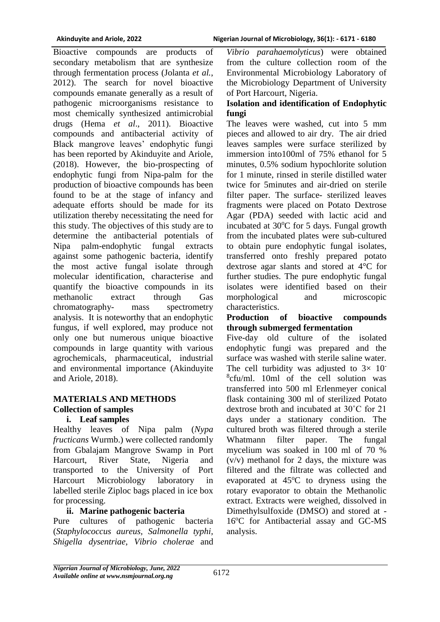Bioactive compounds are products of secondary metabolism that are synthesize through fermentation process (Jolanta *et al.*, 2012). The search for novel bioactive compounds emanate generally as a result of pathogenic microorganisms resistance to most chemically synthesized antimicrobial drugs (Hema *et al*., 2011). Bioactive compounds and antibacterial activity of Black mangrove leaves' endophytic fungi has been reported by Akinduyite and Ariole, (2018). However, the bio-prospecting of endophytic fungi from Nipa-palm for the production of bioactive compounds has been found to be at the stage of infancy and adequate efforts should be made for its utilization thereby necessitating the need for this study. The objectives of this study are to determine the antibacterial potentials of Nipa palm-endophytic fungal extracts against some pathogenic bacteria, identify the most active fungal isolate through molecular identification, characterise and quantify the bioactive compounds in its methanolic extract through Gas chromatography- mass spectrometry analysis. It is noteworthy that an endophytic fungus, if well explored, may produce not only one but numerous unique bioactive compounds in large quantity with various agrochemicals, pharmaceutical, industrial and environmental importance (Akinduyite and Ariole, 2018).

## **MATERIALS AND METHODS Collection of samples**

## **i. Leaf samples**

Healthy leaves of Nipa palm (*Nypa fructicans* Wurmb.) were collected randomly from Gbalajam Mangrove Swamp in Port Harcourt, River State, Nigeria and transported to the University of Port Harcourt Microbiology laboratory in labelled sterile Ziploc bags placed in ice box for processing.

## **ii. Marine pathogenic bacteria**

Pure cultures of pathogenic bacteria (*Staphylococcus aureus, Salmonella typhi, Shigella dysentriae*, *Vibrio cholerae* and

*Vibrio parahaemolyticus*) were obtained from the culture collection room of the Environmental Microbiology Laboratory of the Microbiology Department of University of Port Harcourt, Nigeria.

## **Isolation and identification of Endophytic fungi**

The leaves were washed, cut into 5 mm pieces and allowed to air dry. The air dried leaves samples were surface sterilized by immersion into100ml of 75% ethanol for 5 minutes, 0.5% sodium hypochlorite solution for 1 minute, rinsed in sterile distilled water twice for 5minutes and air-dried on sterile filter paper. The surface- sterilized leaves fragments were placed on Potato Dextrose Agar (PDA) seeded with lactic acid and incubated at  $30^{\circ}$ C for 5 days. Fungal growth from the incubated plates were sub-cultured to obtain pure endophytic fungal isolates, transferred onto freshly prepared potato dextrose agar slants and stored at 4°C for further studies. The pure endophytic fungal isolates were identified based on their morphological and microscopic characteristics.

## **Production of bioactive compounds through submerged fermentation**

Five-day old culture of the isolated endophytic fungi was prepared and the surface was washed with sterile saline water. The cell turbidity was adjusted to  $3 \times 10^{-7}$ 8 cfu/ml. 10ml of the cell solution was transferred into 500 ml Erlenmeyer conical flask containing 300 ml of sterilized Potato dextrose broth and incubated at 30˚C for 21 days under a stationary condition. The cultured broth was filtered through a sterile Whatmann filter paper. The fungal mycelium was soaked in 100 ml of 70 % (v/v) methanol for 2 days, the mixture was filtered and the filtrate was collected and evaporated at  $45^{\circ}$ C to dryness using the rotary evaporator to obtain the Methanolic extract. Extracts were weighed, dissolved in Dimethylsulfoxide (DMSO) and stored at - 16°C for Antibacterial assay and GC-MS analysis.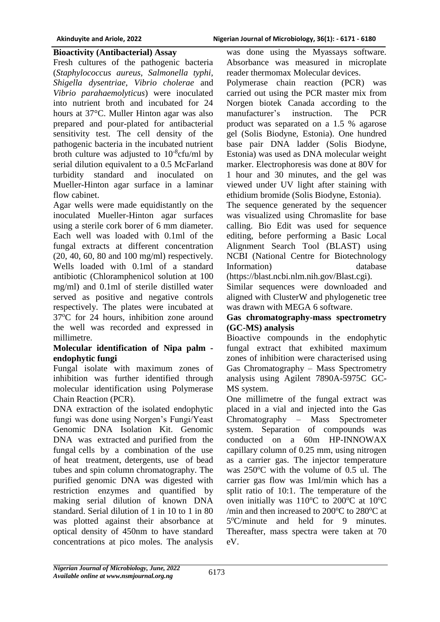#### **Bioactivity (Antibacterial) Assay**

Fresh cultures of the pathogenic bacteria (*Staphylococcus aureus, Salmonella typhi, Shigella dysentriae*, *Vibrio cholerae* and *Vibrio parahaemolyticus*) were inoculated into nutrient broth and incubated for 24 hours at 37°C. Muller Hinton agar was also prepared and pour-plated for antibacterial sensitivity test. The cell density of the pathogenic bacteria in the incubated nutrient broth culture was adjusted to  $10^{-8}$ cfu/ml by serial dilution equivalent to a 0.5 McFarland turbidity standard and inoculated on Mueller-Hinton agar surface in a laminar flow cabinet.

Agar wells were made equidistantly on the inoculated Mueller-Hinton agar surfaces using a sterile cork borer of 6 mm diameter. Each well was loaded with 0.1ml of the fungal extracts at different concentration (20, 40, 60, 80 and 100 mg/ml) respectively. Wells loaded with 0.1ml of a standard antibiotic (Chloramphenicol solution at 100 mg/ml) and 0.1ml of sterile distilled water served as positive and negative controls respectively. The plates were incubated at 37<sup>o</sup>C for 24 hours, inhibition zone around the well was recorded and expressed in millimetre.

#### **Molecular identification of Nipa palm endophytic fungi**

Fungal isolate with maximum zones of inhibition was further identified through molecular identification using Polymerase Chain Reaction (PCR).

DNA extraction of the isolated endophytic fungi was done using Norgen's Fungi/Yeast Genomic DNA Isolation Kit. Genomic DNA was extracted and purified from the fungal cells by a combination of the use of heat treatment, detergents, use of bead tubes and spin column chromatography. The purified genomic DNA was digested with restriction enzymes and quantified by making serial dilution of known DNA standard. Serial dilution of 1 in 10 to 1 in 80 was plotted against their absorbance at optical density of 450nm to have standard concentrations at pico moles. The analysis

was done using the Myassays software. Absorbance was measured in microplate reader thermomax Molecular devices.

Polymerase chain reaction (PCR) was carried out using the PCR master mix from Norgen biotek Canada according to the manufacturer's instruction. The PCR product was separated on a 1.5 % agarose gel (Solis Biodyne, Estonia). One hundred base pair DNA ladder (Solis Biodyne, Estonia) was used as DNA molecular weight marker. Electrophoresis was done at 80V for 1 hour and 30 minutes, and the gel was viewed under UV light after staining with ethidium bromide (Solis Biodyne, Estonia).

The sequence generated by the sequencer was visualized using Chromaslite for base calling. Bio Edit was used for sequence editing, before performing a Basic Local Alignment Search Tool (BLAST) using NCBI (National Centre for Biotechnology Information) database

(https://blast.ncbi.nlm.nih.gov/Blast.cgi).

Similar sequences were downloaded and aligned with ClusterW and phylogenetic tree was drawn with MEGA 6 software.

## **Gas chromatography-mass spectrometry (GC-MS) analysis**

Bioactive compounds in the endophytic fungal extract that exhibited maximum zones of inhibition were characterised using Gas Chromatography – Mass Spectrometry analysis using Agilent 7890A-5975C GC-MS system.

One millimetre of the fungal extract was placed in a vial and injected into the Gas Chromatography – Mass Spectrometer system. Separation of compounds was conducted on a 60m HP-INNOWAX capillary column of 0.25 mm, using nitrogen as a carrier gas. The injector temperature was  $250^{\circ}$ C with the volume of 0.5 ul. The carrier gas flow was 1ml/min which has a split ratio of 10:1. The temperature of the oven initially was  $110^{\circ}$ C to  $200^{\circ}$ C at  $10^{\circ}$ C /min and then increased to  $200^{\circ}$ C to  $280^{\circ}$ C at 5°C/minute and held for 9 minutes. Thereafter, mass spectra were taken at 70 eV.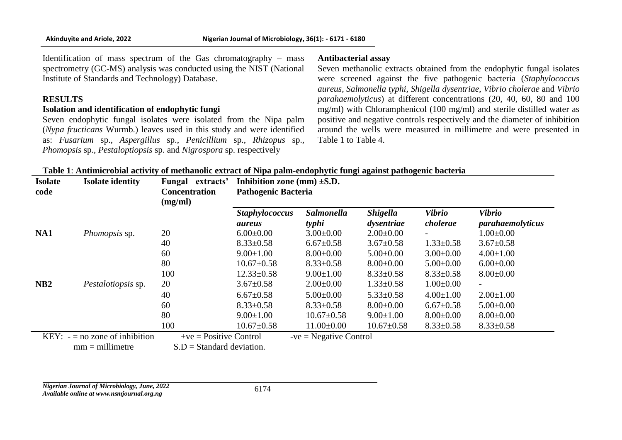Identification of mass spectrum of the Gas chromatography – mass spectrometry (GC-MS) analysis was conducted using the NIST (National Institute of Standards and Technology) Database.

#### **RESULTS**

#### **Isolation and identification of endophytic fungi**

Seven endophytic fungal isolates were isolated from the Nipa palm (*Nypa fructicans* Wurmb.) leaves used in this study and were identified as: *Fusarium* sp., *Aspergillus* sp., *Penicillium* sp., *Rhizopus* sp., *Phomopsis* sp., *Pestaloptiopsis* sp. and *Nigrospora* sp. respectively

#### **Antibacterial assay**

Seven methanolic extracts obtained from the endophytic fungal isolates were screened against the five pathogenic bacteria (*Staphylococcus aureus, Salmonella typhi, Shigella dysentriae*, *Vibrio cholerae* and *Vibrio parahaemolyticus*) at different concentrations (20, 40, 60, 80 and 100 mg/ml) with Chloramphenicol (100 mg/ml) and sterile distilled water as positive and negative controls respectively and the diameter of inhibition around the wells were measured in millimetre and were presented in Table 1 to Table 4.

| <b>Isolate</b>  | <b>Isolate identity</b>         | Fungal extracts'            | Inhibition zone (mm) $\pm$ S.D.        | $\sim$ r r $\sim$ r $\sim$ r $\sim$ r $\sim$ r $\sim$ r $\sim$ r $\sim$ r $\sim$ r $\sim$ r $\sim$ r $\sim$ r $\sim$ r $\sim$ r $\sim$ r $\sim$ r $\sim$ r $\sim$ r $\sim$ r $\sim$ r $\sim$ r $\sim$ r $\sim$ r $\sim$ r $\sim$ r $\sim$ r $\sim$ r $\sim$ r $\sim$ r $\sim$ r $\sim$ r $\sim$ |                               |                           |                                   |
|-----------------|---------------------------------|-----------------------------|----------------------------------------|-------------------------------------------------------------------------------------------------------------------------------------------------------------------------------------------------------------------------------------------------------------------------------------------------|-------------------------------|---------------------------|-----------------------------------|
| code            |                                 | <b>Concentration</b>        | <b>Pathogenic Bacteria</b>             |                                                                                                                                                                                                                                                                                                 |                               |                           |                                   |
|                 |                                 | (mg/ml)                     |                                        |                                                                                                                                                                                                                                                                                                 |                               |                           |                                   |
|                 |                                 |                             | <b>Staphylococcus</b><br><i>aureus</i> | <b>Salmonella</b><br>typhi                                                                                                                                                                                                                                                                      | <b>Shigella</b><br>dysentriae | <b>Vibrio</b><br>cholerae | <b>Vibrio</b><br>parahaemolyticus |
| NA1             | Phomopsis sp.                   | 20                          | $6.00\pm0.00$                          | $3.00 \pm 0.00$                                                                                                                                                                                                                                                                                 | $2.00 \pm 0.00$               |                           | $1.00 \pm 0.00$                   |
|                 |                                 | 40                          | $8.33 \pm 0.58$                        | $6.67 \pm 0.58$                                                                                                                                                                                                                                                                                 | $3.67 \pm 0.58$               | $1.33 \pm 0.58$           | $3.67 \pm 0.58$                   |
|                 |                                 | 60                          | $9.00 \pm 1.00$                        | $8.00 \pm 0.00$                                                                                                                                                                                                                                                                                 | $5.00\pm0.00$                 | $3.00 \pm 0.00$           | $4.00 \pm 1.00$                   |
|                 |                                 | 80                          | $10.67 \pm 0.58$                       | $8.33 \pm 0.58$                                                                                                                                                                                                                                                                                 | $8.00 \pm 0.00$               | $5.00 \pm 0.00$           | $6.00 \pm 0.00$                   |
|                 |                                 | 100                         | $12.33 \pm 0.58$                       | $9.00 \pm 1.00$                                                                                                                                                                                                                                                                                 | $8.33 \pm 0.58$               | $8.33 \pm 0.58$           | $8.00 \pm 0.00$                   |
| NB <sub>2</sub> | <i>Pestalotiopsis</i> sp.       | 20                          | $3.67 \pm 0.58$                        | $2.00\pm0.00$                                                                                                                                                                                                                                                                                   | $1.33 \pm 0.58$               | $1.00 \pm 0.00$           | $\overline{\phantom{a}}$          |
|                 |                                 | 40                          | $6.67 \pm 0.58$                        | $5.00 \pm 0.00$                                                                                                                                                                                                                                                                                 | $5.33 \pm 0.58$               | $4.00 \pm 1.00$           | $2.00 \pm 1.00$                   |
|                 |                                 | 60                          | $8.33 \pm 0.58$                        | $8.33 \pm 0.58$                                                                                                                                                                                                                                                                                 | $8.00 \pm 0.00$               | $6.67 \pm 0.58$           | $5.00 \pm 0.00$                   |
|                 |                                 | 80                          | $9.00 \pm 1.00$                        | $10.67 \pm 0.58$                                                                                                                                                                                                                                                                                | $9.00 \pm 1.00$               | $8.00 \pm 0.00$           | $8.00 \pm 0.00$                   |
|                 |                                 | 100                         | $10.67 \pm 0.58$                       | $11.00\pm0.00$                                                                                                                                                                                                                                                                                  | $10.67 \pm 0.58$              | $8.33 \pm 0.58$           | $8.33 \pm 0.58$                   |
|                 | $KEY: -= no$ zone of inhibition | $+ve = Positive Control$    |                                        | $-ve = Negative Control$                                                                                                                                                                                                                                                                        |                               |                           |                                   |
|                 | $mm = millimeter$               | $S.D = Standard deviation.$ |                                        |                                                                                                                                                                                                                                                                                                 |                               |                           |                                   |

| Table 1: Antimicrobial activity of methanolic extract of Nipa palm-endophytic fungi against pathogenic bacteria |  |  |  |
|-----------------------------------------------------------------------------------------------------------------|--|--|--|
|                                                                                                                 |  |  |  |

*Nigerian Journal of Microbiology, June, 2022 Available online at www.nsmjournal.org.ng*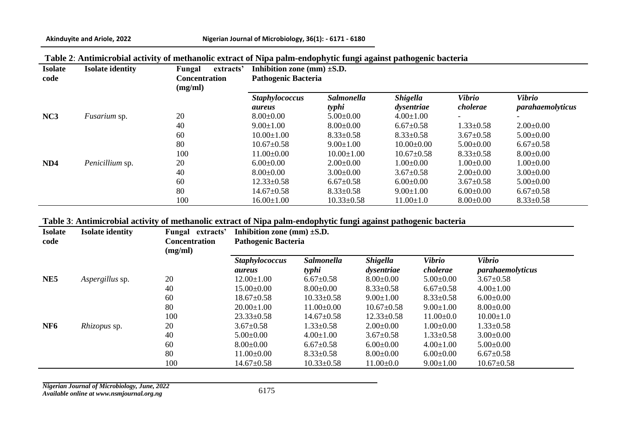| Table 2: Antimicrobial activity of methanolic extract of Nipa palm-endophytic fungi against pathogenic bacteria |  |  |  |
|-----------------------------------------------------------------------------------------------------------------|--|--|--|
|                                                                                                                 |  |  |  |

| <b>Isolate</b><br>code | <b>Isolate identity</b> | Fungal<br>extracts'<br><b>Concentration</b><br>(mg/ml) | Inhibition zone (mm) $\pm$ S.D.<br><b>Pathogenic Bacteria</b> |                            |                               |                           |                                          |  |
|------------------------|-------------------------|--------------------------------------------------------|---------------------------------------------------------------|----------------------------|-------------------------------|---------------------------|------------------------------------------|--|
|                        |                         |                                                        | <b>Staphylococcus</b><br>aureus                               | <b>Salmonella</b><br>typhi | <b>Shigella</b><br>dysentriae | <b>Vibrio</b><br>cholerae | <b>Vibrio</b><br><i>parahaemolyticus</i> |  |
| NC <sub>3</sub>        | <i>Fusarium</i> sp.     | 20                                                     | $8.00 \pm 0.00$                                               | $5.00\pm0.00$              | $4.00 \pm 1.00$               |                           |                                          |  |
|                        |                         | 40                                                     | $9.00 \pm 1.00$                                               | $8.00 \pm 0.00$            | $6.67 \pm 0.58$               | $1.33 \pm 0.58$           | $2.00\pm0.00$                            |  |
|                        |                         | 60                                                     | $10.00 \pm 1.00$                                              | $8.33 \pm 0.58$            | $8.33 \pm 0.58$               | $3.67 \pm 0.58$           | $5.00 \pm 0.00$                          |  |
|                        |                         | 80                                                     | $10.67 \pm 0.58$                                              | $9.00 \pm 1.00$            | $10.00 \pm 0.00$              | $5.00 \pm 0.00$           | $6.67 \pm 0.58$                          |  |
|                        |                         | 100                                                    | $11.00 \pm 0.00$                                              | $10.00 \pm 1.00$           | $10.67 \pm 0.58$              | $8.33 \pm 0.58$           | $8.00 \pm 0.00$                          |  |
| ND <sub>4</sub>        | Penicillium sp.         | 20                                                     | $6.00\pm0.00$                                                 | $2.00 \pm 0.00$            | $1.00 \pm 0.00$               | $1.00 \pm 0.00$           | $1.00 \pm 0.00$                          |  |
|                        |                         | 40                                                     | $8.00 \pm 0.00$                                               | $3.00 \pm 0.00$            | $3.67 \pm 0.58$               | $2.00\pm0.00$             | $3.00 \pm 0.00$                          |  |
|                        |                         | 60                                                     | $12.33 \pm 0.58$                                              | $6.67 \pm 0.58$            | $6.00\pm0.00$                 | $3.67 \pm 0.58$           | $5.00\pm0.00$                            |  |
|                        |                         | 80                                                     | $14.67 \pm 0.58$                                              | $8.33 \pm 0.58$            | $9.00 \pm 1.00$               | $6.00 \pm 0.00$           | $6.67 \pm 0.58$                          |  |
|                        |                         | 100                                                    | $16.00 \pm 1.00$                                              | $10.33 \pm 0.58$           | $11.00 \pm 1.0$               | $8.00 \pm 0.00$           | $8.33 \pm 0.58$                          |  |

**Table 3**: **Antimicrobial activity of methanolic extract of Nipa palm-endophytic fungi against pathogenic bacteria**

| <b>Isolate</b><br>code | <b>Isolate identity</b> | Fungal<br>extracts'<br><b>Concentration</b><br>(mg/ml) | Inhibition zone (mm) $\pm$ S.D.<br><b>Pathogenic Bacteria</b> |                            |                               |                           |                                   |  |
|------------------------|-------------------------|--------------------------------------------------------|---------------------------------------------------------------|----------------------------|-------------------------------|---------------------------|-----------------------------------|--|
|                        |                         |                                                        | <b>Staphylococcus</b><br><i>aureus</i>                        | <b>Salmonella</b><br>typhi | <b>Shigella</b><br>dysentriae | <b>Vibrio</b><br>cholerae | <b>Vibrio</b><br>parahaemolyticus |  |
| NE <sub>5</sub>        | Aspergillus sp.         | 20                                                     | $12.00 \pm 1.00$                                              | $6.67 \pm 0.58$            | $8.00{\pm}0.00$               | $5.00 \pm 0.00$           | $3.67 \pm 0.58$                   |  |
|                        |                         | 40                                                     | $15.00 \pm 0.00$                                              | $8.00 \pm 0.00$            | $8.33 \pm 0.58$               | $6.67 \pm 0.58$           | $4.00 \pm 1.00$                   |  |
|                        |                         | 60                                                     | $18.67 \pm 0.58$                                              | $10.33 \pm 0.58$           | $9.00 \pm 1.00$               | $8.33 \pm 0.58$           | $6.00 \pm 0.00$                   |  |
|                        |                         | 80                                                     | $20.00 \pm 1.00$                                              | $11.00\pm0.00$             | $10.67 \pm 0.58$              | $9.00 \pm 1.00$           | $8.00 \pm 0.00$                   |  |
|                        |                         | 100                                                    | $23.33 \pm 0.58$                                              | $14.67 \pm 0.58$           | $12.33 \pm 0.58$              | $11.00 \pm 0.0$           | $10.00 \pm 1.0$                   |  |
| NF <sub>6</sub>        | Rhizopus sp.            | 20                                                     | $3.67 \pm 0.58$                                               | $1.33 \pm 0.58$            | $2.00\pm0.00$                 | $1.00 \pm 0.00$           | $1.33 \pm 0.58$                   |  |
|                        |                         | 40                                                     | $5.00 \pm 0.00$                                               | $4.00 \pm 1.00$            | $3.67 \pm 0.58$               | $1.33 \pm 0.58$           | $3.00 \pm 0.00$                   |  |
|                        |                         | 60                                                     | $8.00 \pm 0.00$                                               | $6.67 \pm 0.58$            | $6.00\pm0.00$                 | $4.00 \pm 1.00$           | $5.00 \pm 0.00$                   |  |
|                        |                         | 80                                                     | $11.00 \pm 0.00$                                              | $8.33 \pm 0.58$            | $8.00\pm0.00$                 | $6.00\pm0.00$             | $6.67 \pm 0.58$                   |  |
|                        |                         | 100                                                    | $14.67 \pm 0.58$                                              | $10.33 \pm 0.58$           | $11.00 \pm 0.0$               | $9.00 \pm 1.00$           | $10.67 \pm 0.58$                  |  |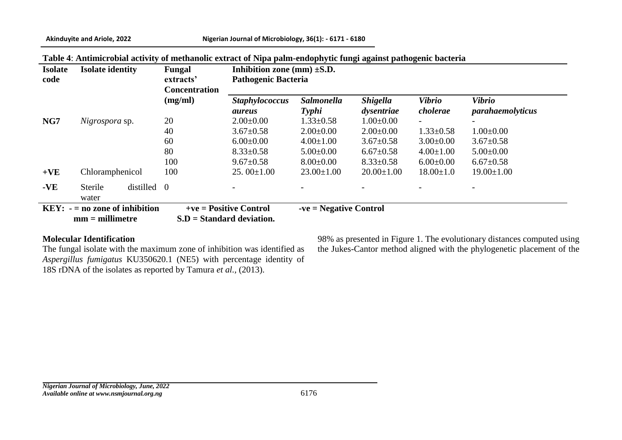| <b>Isolate</b><br>code | <b>Isolate identity</b>                              |             | Fungal<br>extracts'<br><b>Concentration</b> | Inhibition zone (mm) $\pm$ S.D.<br><b>Pathogenic Bacteria</b> |                            |                               |                           |                                          |  |
|------------------------|------------------------------------------------------|-------------|---------------------------------------------|---------------------------------------------------------------|----------------------------|-------------------------------|---------------------------|------------------------------------------|--|
|                        |                                                      |             | (mg/ml)                                     | <b>Staphylococcus</b><br><i>aureus</i>                        | <b>Salmonella</b><br>Typhi | <b>Shigella</b><br>dysentriae | <b>Vibrio</b><br>cholerae | <b>Vibrio</b><br><i>parahaemolyticus</i> |  |
| NG7                    | <i>Nigrospora</i> sp.                                |             | 20                                          | $2.00\pm0.00$                                                 | $1.33 \pm 0.58$            | $1.00 \pm 0.00$               | $\overline{\phantom{a}}$  |                                          |  |
|                        |                                                      |             | 40                                          | $3.67 \pm 0.58$                                               | $2.00\pm0.00$              | $2.00\pm0.00$                 | $1.33 \pm 0.58$           | $1.00 \pm 0.00$                          |  |
|                        |                                                      |             | 60                                          | $6.00\pm0.00$                                                 | $4.00 \pm 1.00$            | $3.67 \pm 0.58$               | $3.00 \pm 0.00$           | $3.67 \pm 0.58$                          |  |
|                        |                                                      |             | 80                                          | $8.33 \pm 0.58$                                               | $5.00 \pm 0.00$            | $6.67 \pm 0.58$               | $4.00 \pm 1.00$           | $5.00 \pm 0.00$                          |  |
|                        |                                                      |             | 100                                         | $9.67 \pm 0.58$                                               | $8.00 \pm 0.00$            | $8.33 \pm 0.58$               | $6.00\pm0.00$             | $6.67 \pm 0.58$                          |  |
| $+VE$                  | Chloramphenicol                                      |             | 100                                         | $25.00 \pm 1.00$                                              | $23.00 \pm 1.00$           | $20.00 \pm 1.00$              | $18.00 \pm 1.0$           | $19.00 \pm 1.00$                         |  |
| $-VE$                  | Sterile<br>water                                     | distilled 0 |                                             |                                                               |                            |                               |                           |                                          |  |
|                        | $KEY: -= no$ zone of inhibition<br>$mm = millimeter$ |             |                                             | $+ve = Positive Control$<br>$S.D = Standard deviation.$       | $-ve = Negative Control$   |                               |                           |                                          |  |

#### **Table 4**: **Antimicrobial activity of methanolic extract of Nipa palm-endophytic fungi against pathogenic bacteria**

#### **Molecular Identification**

The fungal isolate with the maximum zone of inhibition was identified as *Aspergillus fumigatus* KU350620.1 (NE5) with percentage identity of 18S rDNA of the isolates as reported by Tamura *et al.,* (2013).

98% as presented in Figure 1. The evolutionary distances computed using the Jukes-Cantor method aligned with the phylogenetic placement of the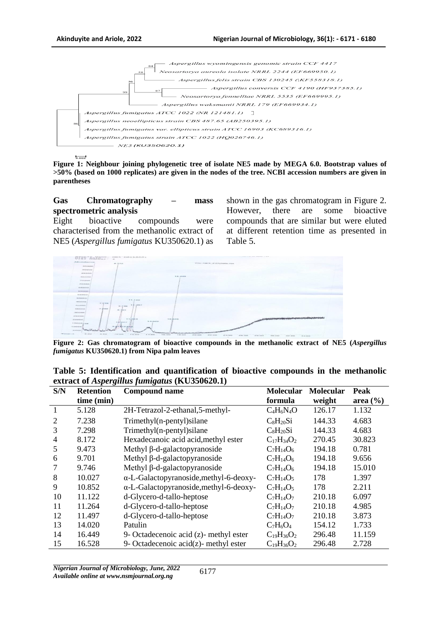

**Figure 1: Neighbour joining phylogenetic tree of isolate NE5 made by MEGA 6.0. Bootstrap values of >50% (based on 1000 replicates) are given in the nodes of the tree. NCBI accession numbers are given in parentheses**

**Gas Chromatography – mass spectrometric analysis**

Eight bioactive compounds were characterised from the methanolic extract of NE5 (*Aspergillus fumigatus* KU350620.1) as shown in the gas chromatogram in Figure 2. However, there are some bioactive compounds that are similar but were eluted at different retention time as presented in Table 5.



**Figure 2: Gas chromatogram of bioactive compounds in the methanolic extract of NE5 (***Aspergillus fumigatus* **KU350620.1) from Nipa palm leaves**

|     |                                | Table 5: Identification and quantification of bioactive compounds in the methanolic |                          |  |  |
|-----|--------------------------------|-------------------------------------------------------------------------------------|--------------------------|--|--|
|     |                                | extract of <i>Aspergillus fumigatus</i> (KU350620.1)                                |                          |  |  |
| C/N | <b>Detention</b> Compound name |                                                                                     | Mologylan Mologylan Dool |  |  |

| S/N | <b>Retention</b> | <b>Compound name</b>                           | <b>Molecular</b>  | <b>Molecular</b> | Peak         |
|-----|------------------|------------------------------------------------|-------------------|------------------|--------------|
|     | time (min)       |                                                | formula           | weight           | area $(\% )$ |
| 1   | 5.128            | 2H-Tetrazol-2-ethanal,5-methyl-                | $C_4H_6N_4O$      | 126.17           | 1.132        |
| 2   | 7.238            | Trimethyl(n-pentyl)silane                      | $C_8H_{20}Si$     | 144.33           | 4.683        |
| 3   | 7.298            | Trimethyl(n-pentyl)silane                      | $C_8H_{20}Si$     | 144.33           | 4.683        |
| 4   | 8.172            | Hexadecanoic acid acid, methyl ester           | $C_{17}H_{34}O_2$ | 270.45           | 30.823       |
| 5   | 9.473            | Methyl $\beta$ -d-galactopyranoside            | $C_7H_{14}O_6$    | 194.18           | 0.781        |
| 6   | 9.701            | Methyl $\beta$ -d-galactopyranoside            | $C_7H_{14}O_6$    | 194.18           | 9.656        |
|     | 9.746            | Methyl $\beta$ -d-galactopyranoside            | $C_7H_{14}O_6$    | 194.18           | 15.010       |
| 8   | 10.027           | $\alpha$ -L-Galactopyranoside, methyl-6-deoxy- | $C_7H_{14}O_5$    | 178              | 1.397        |
| 9   | 10.852           | $\alpha$ -L-Galactopyranoside, methyl-6-deoxy- | $C_7H_{14}O_5$    | 178              | 2.211        |
| 10  | 11.122           | d-Glycero-d-tallo-heptose                      | $C_7H_{14}O_7$    | 210.18           | 6.097        |
| 11  | 11.264           | d-Glycero-d-tallo-heptose                      | $C_7H_{14}O_7$    | 210.18           | 4.985        |
| 12  | 11.497           | d-Glycero-d-tallo-heptose                      | $C_7H_{14}O_7$    | 210.18           | 3.873        |
| 13  | 14.020           | Patulin                                        | $C_7H_6O_4$       | 154.12           | 1.733        |
| 14  | 16.449           | 9- Octadecenoic acid (z)- methyl ester         | $C_{19}H_{36}O_2$ | 296.48           | 11.159       |
| 15  | 16.528           | 9- Octadecenoic $\alpha$ cid(z)- methyl ester  | $C_{19}H_{36}O_2$ | 296.48           | 2.728        |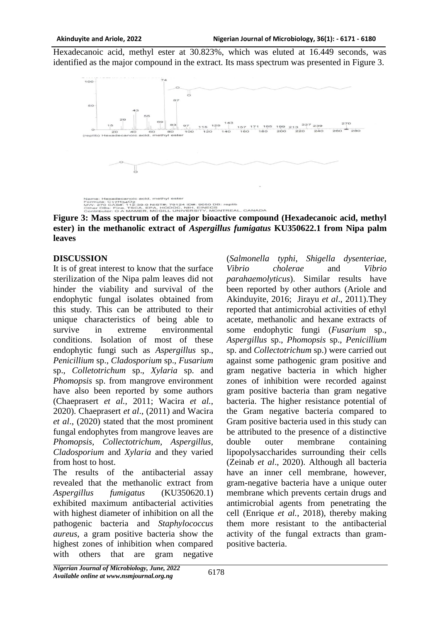Hexadecanoic acid, methyl ester at 30.823%, which was eluted at 16.449 seconds, was identified as the major compound in the extract. Its mass spectrum was presented in Figure 3.



**Figure 3: Mass spectrum of the major bioactive compound (Hexadecanoic acid, methyl ester) in the methanolic extract of** *Aspergillus fumigatus* **KU350622.1 from Nipa palm leaves**

## **DISCUSSION**

It is of great interest to know that the surface sterilization of the Nipa palm leaves did not hinder the viability and survival of the endophytic fungal isolates obtained from this study. This can be attributed to their unique characteristics of being able to survive in extreme environmental conditions. Isolation of most of these endophytic fungi such as *Aspergillus* sp., *Penicillium* sp., *Cladosporium* sp., *Fusarium*  sp., *Colletotrichum* sp., *Xylaria* sp. and *Phomopsis* sp. from mangrove environment have also been reported by some authors (Chaeprasert *et al.,* 2011; Wacira *et al.*, 2020). Chaeprasert *et al*., (2011) and Wacira *et al*., (2020) stated that the most prominent fungal endophytes from mangrove leaves are *Phomopsis, Collectotrichum, Aspergillus, Cladosporium* and *Xylaria* and they varied from host to host.

The results of the antibacterial assay revealed that the methanolic extract from *Aspergillus fumigatus* (KU350620.1) exhibited maximum antibacterial activities with highest diameter of inhibition on all the pathogenic bacteria and *Staphylococcus aureus*, a gram positive bacteria show the highest zones of inhibition when compared with others that are gram negative

(*Salmonella typhi*, *Shigella dysenteriae*, *Vibrio cholerae* and *Vibrio parahaemolyticus*). Similar results have been reported by other authors (Ariole and Akinduyite, 2016; Jirayu *et al*., 2011).They reported that antimicrobial activities of ethyl acetate, methanolic and hexane extracts of some endophytic fungi (*Fusarium* sp., *Aspergillus* sp., *Phomopsis* sp., *Penicillium*  sp. and *Collectotrichum* sp.) were carried out against some pathogenic gram positive and gram negative bacteria in which higher zones of inhibition were recorded against gram positive bacteria than gram negative bacteria. The higher resistance potential of the Gram negative bacteria compared to Gram positive bacteria used in this study can be attributed to the presence of a distinctive double outer membrane containing lipopolysaccharides surrounding their cells (Zeinab *et al*., 2020). Although all bacteria have an inner cell membrane, however, gram-negative bacteria have a unique outer membrane which prevents certain drugs and antimicrobial agents from penetrating the cell (Enrique *et al.*, 2018), thereby making them more resistant to the antibacterial activity of the fungal extracts than grampositive bacteria.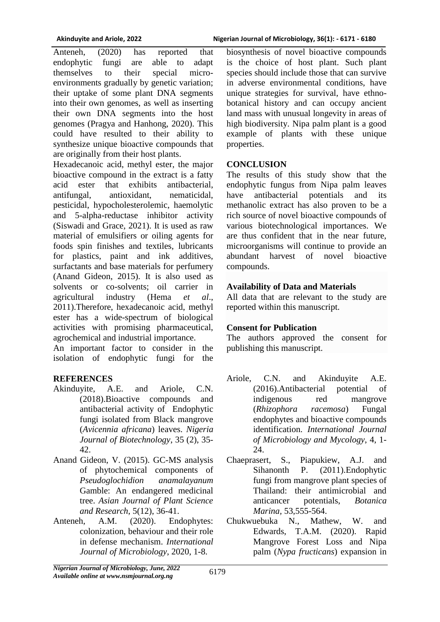Anteneh, (2020) has reported that endophytic fungi are able to adapt themselves to their special microenvironments gradually by genetic variation; their uptake of some plant DNA segments into their own genomes, as well as inserting their own DNA segments into the host genomes (Pragya and Hanhong, 2020). This could have resulted to their ability to synthesize unique bioactive compounds that are originally from their host plants.

Hexadecanoic acid, methyl ester, the major bioactive compound in the extract is a fatty acid ester that exhibits antibacterial, antifungal, antioxidant, nematicidal, pesticidal, hypocholesterolemic, haemolytic and 5-alpha-reductase inhibitor activity (Siswadi and Grace, 2021). It is used as raw material of emulsifiers or oiling agents for foods spin finishes and textiles, lubricants for plastics, paint and ink additives, surfactants and base materials for perfumery (Anand Gideon, 2015). It is also used as solvents or co-solvents; oil carrier in agricultural industry (Hema *et al*., 2011).Therefore, hexadecanoic acid, methyl ester has a wide-spectrum of biological activities with promising pharmaceutical, agrochemical and industrial importance.

An important factor to consider in the isolation of endophytic fungi for the

## **REFERENCES**

- Akinduyite, A.E. and Ariole, C.N. (2018).Bioactive compounds and antibacterial activity of Endophytic fungi isolated from Black mangrove (*Avicennia africana*) leaves. *Nigeria Journal of Biotechnology*, 35 (2), 35- 42.
- Anand Gideon, V. (2015). GC-MS analysis of phytochemical components of *Pseudoglochidion anamalayanum* Gamble: An endangered medicinal tree. *Asian Journal of Plant Science and Research*, 5(12), 36-41.
- Anteneh, A.M. (2020). Endophytes: colonization, behaviour and their role in defense mechanism. *International Journal of Microbiology*, 2020, 1-8.

biosynthesis of novel bioactive compounds is the choice of host plant. Such plant species should include those that can survive in adverse environmental conditions, have unique strategies for survival, have ethnobotanical history and can occupy ancient land mass with unusual longevity in areas of high biodiversity. Nipa palm plant is a good example of plants with these unique properties.

## **CONCLUSION**

The results of this study show that the endophytic fungus from Nipa palm leaves have antibacterial potentials and its methanolic extract has also proven to be a rich source of novel bioactive compounds of various biotechnological importances. We are thus confident that in the near future, microorganisms will continue to provide an abundant harvest of novel bioactive compounds.

## **Availability of Data and Materials**

All data that are relevant to the study are reported within this manuscript.

# **Consent for Publication**

The authors approved the consent for publishing this manuscript.

- Ariole, C.N. and Akinduyite A.E. (2016).Antibacterial potential of indigenous red mangrove (*Rhizophora racemosa*) Fungal endophytes and bioactive compounds identification. *International Journal of Microbiology and Mycology*, 4, 1- 24.
- Chaeprasert, S., Piapukiew, A.J. and Sihanonth P. (2011).Endophytic fungi from mangrove plant species of Thailand: their antimicrobial and anticancer potentials, *Botanica Marina,* 53,555-564.
- Chukwuebuka N., Mathew, W. and Edwards, T.A.M. (2020). Rapid Mangrove Forest Loss and Nipa palm (*Nypa fructicans*) expansion in